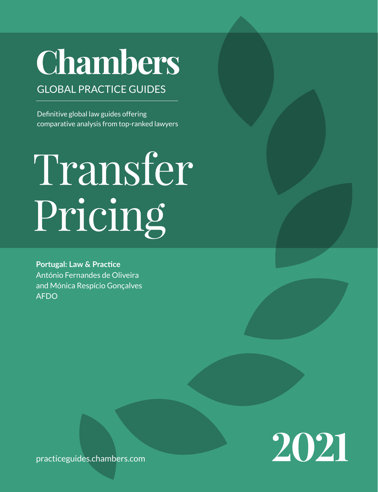# **Chambers**

# GLOBAL PRACTICE GUIDES

Definitive global law guides offering comparative analysis from top-ranked lawyers

# Transfer Pricing

**Portugal: Law & Practice** António Fernandes de Oliveira and Mónica Respício Gonçalves AFDO



practiceguides[.chambers.com](http://chambers.com)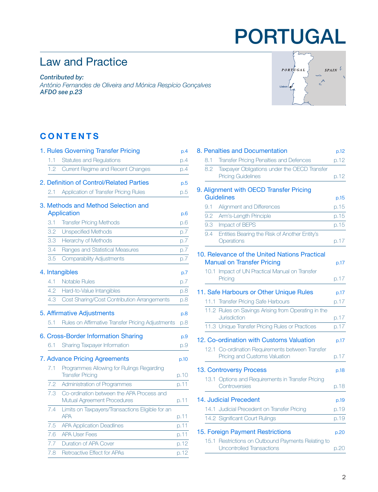# PORTUGAL

# Law and Practice

*Contributed by:*

*António Fernandes de Oliveira and Mónica Respício Gonçalves AFD[O see p.23](#page-22-0)*

# **CONTENTS**

|     | 1. Rules Governing Transfer Pricing                                  | p.4  |
|-----|----------------------------------------------------------------------|------|
| 1.1 | <b>Statutes and Regulations</b>                                      | p.4  |
| 1.2 | Current Regime and Recent Changes                                    | p.4  |
|     | 2. Definition of Control/Related Parties                             | p.5  |
| 2.1 | Application of Transfer Pricing Rules                                | p.5  |
|     | 3. Methods and Method Selection and                                  |      |
|     | <b>Application</b>                                                   | p.6  |
| 3.1 | <b>Transfer Pricing Methods</b>                                      | p.6  |
| 3.2 | <b>Unspecified Methods</b>                                           | p.7  |
| 3.3 | <b>Hierarchy of Methods</b>                                          | p.7  |
| 3.4 | Ranges and Statistical Measures                                      | p.7  |
| 3.5 | <b>Comparability Adjustments</b>                                     | p.7  |
|     |                                                                      |      |
|     | 4. Intangibles                                                       | p.7  |
| 4.1 | <b>Notable Rules</b>                                                 | p.7  |
| 4.2 | Hard-to-Value Intangibles                                            | p.8  |
| 4.3 | Cost Sharing/Cost Contribution Arrangements                          | p.8  |
|     | 5. Affirmative Adjustments                                           | p.8  |
| 5.1 | Rules on Affirmative Transfer Pricing Adjustments                    | p.8  |
|     | 6. Cross-Border Information Sharing                                  | p.9  |
| 6.1 | Sharing Taxpayer Information                                         | p.9  |
|     | 7. Advance Pricing Agreements                                        |      |
|     |                                                                      | p.10 |
| 7.1 | Programmes Allowing for Rulings Regarding<br><b>Transfer Pricing</b> | p.10 |
| 7.2 | Administration of Programmes                                         | p.11 |
| 7.3 | Co-ordination between the APA Process and                            |      |
|     | Mutual Agreement Procedures                                          | p.11 |
| 7.4 | Limits on Taxpayers/Transactions Eligible for an<br><b>APA</b>       | p.11 |
| 7.5 | <b>APA Application Deadlines</b>                                     | p.11 |
| 7.6 | <b>APA User Fees</b>                                                 | p.11 |
| 7.7 | <b>Duration of APA Cover</b>                                         | p.12 |
| 7.8 | Retroactive Effect for APAs                                          | p.12 |



|     | 8. Penalties and Documentation                                                         | p.12 |
|-----|----------------------------------------------------------------------------------------|------|
| 8.1 | <b>Transfer Pricing Penalties and Defences</b>                                         | p.12 |
| 8.2 | Taxpayer Obligations under the OECD Transfer<br><b>Pricing Guidelines</b>              | p.12 |
|     | 9. Alignment with OECD Transfer Pricing                                                |      |
|     | <b>Guidelines</b>                                                                      | p.15 |
| 9.1 | Alignment and Differences                                                              | p.15 |
| 9.2 | Arm's-Length Principle                                                                 | p.15 |
| 9.3 | Impact of BEPS                                                                         | p.15 |
| 9.4 | Entities Bearing the Risk of Another Entity's<br>Operations                            | p.17 |
|     | 10. Relevance of the United Nations Practical<br><b>Manual on Transfer Pricing</b>     | p.17 |
|     | 10.1 Impact of UN Practical Manual on Transfer<br>Pricing                              | p.17 |
|     | 11. Safe Harbours or Other Unique Rules                                                | p.17 |
|     | 11.1 Transfer Pricing Safe Harbours                                                    | p.17 |
|     | 11.2 Rules on Savings Arising from Operating in the<br>Jurisdiction                    | p.17 |
|     | 11.3 Unique Transfer Pricing Rules or Practices                                        | p.17 |
|     | 12. Co-ordination with Customs Valuation                                               | p.17 |
|     | 12.1 Co-ordination Requirements between Transfer<br>Pricing and Customs Valuation      | p.17 |
|     | 13. Controversy Process                                                                | p.18 |
|     | 13.1 Options and Requirements in Transfer Pricing<br>Controversies                     | p.18 |
|     | 14. Judicial Precedent                                                                 | p.19 |
|     | 14.1 Judicial Precedent on Transfer Pricing                                            | p.19 |
|     | 14.2 Significant Court Rulings                                                         | p.19 |
|     | 15. Foreign Payment Restrictions                                                       | p.20 |
|     | 15.1 Restrictions on Outbound Payments Relating to<br><b>Uncontrolled Transactions</b> | p.20 |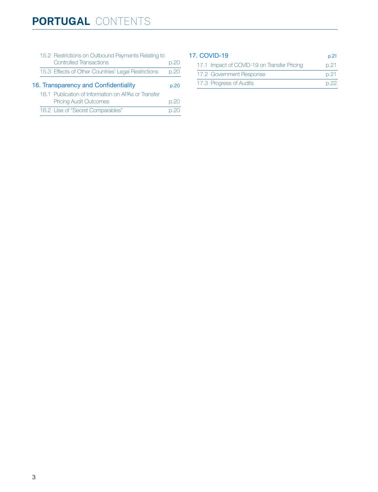|                                      |  | 15.2 Restrictions on Outbound Payments Relating to  |      |  |
|--------------------------------------|--|-----------------------------------------------------|------|--|
|                                      |  | <b>Controlled Transactions</b>                      | p.20 |  |
|                                      |  | 15.3 Effects of Other Countries' Legal Restrictions | p.20 |  |
| 16. Transparency and Confidentiality |  |                                                     |      |  |
|                                      |  | 16.1 Publication of Information on APAs or Transfer |      |  |
|                                      |  | <b>Pricing Audit Outcomes</b>                       | p.20 |  |
|                                      |  | 16.2 Use of "Secret Comparables"                    |      |  |
|                                      |  |                                                     |      |  |

#### [17. COVID-19](#page-20-0) p.21 17.1 Impact of COVID-19 on Transfer Pricing p.21 17.2 Government Response **p.21** 17.3 Progress of Audits **p.22**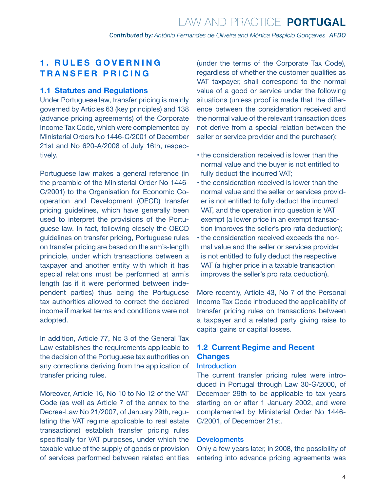# <span id="page-3-0"></span>**1. RULES GOVERNING TRANSFER PRICING**

#### **1.1 Statutes and Regulations**

Under Portuguese law, transfer pricing is mainly governed by Articles 63 (key principles) and 138 (advance pricing agreements) of the Corporate Income Tax Code, which were complemented by Ministerial Orders No 1446-C/2001 of December 21st and No 620-A/2008 of July 16th, respectively.

Portuguese law makes a general reference (in the preamble of the Ministerial Order No 1446- C/2001) to the Organisation for Economic Cooperation and Development (OECD) transfer pricing guidelines, which have generally been used to interpret the provisions of the Portuguese law. In fact, following closely the OECD guidelines on transfer pricing, Portuguese rules on transfer pricing are based on the arm's-length principle, under which transactions between a taxpayer and another entity with which it has special relations must be performed at arm's length (as if it were performed between independent parties) thus being the Portuguese tax authorities allowed to correct the declared income if market terms and conditions were not adopted.

In addition, Article 77, No 3 of the General Tax Law establishes the requirements applicable to the decision of the Portuguese tax authorities on any corrections deriving from the application of transfer pricing rules.

Moreover, Article 16, No 10 to No 12 of the VAT Code (as well as Article 7 of the annex to the Decree-Law No 21/2007, of January 29th, regulating the VAT regime applicable to real estate transactions) establish transfer pricing rules specifically for VAT purposes, under which the taxable value of the supply of goods or provision of services performed between related entities

(under the terms of the Corporate Tax Code), regardless of whether the customer qualifies as VAT taxpayer, shall correspond to the normal value of a good or service under the following situations (unless proof is made that the difference between the consideration received and the normal value of the relevant transaction does not derive from a special relation between the seller or service provider and the purchaser):

- the consideration received is lower than the normal value and the buyer is not entitled to fully deduct the incurred VAT;
- the consideration received is lower than the normal value and the seller or services provider is not entitled to fully deduct the incurred VAT, and the operation into question is VAT exempt (a lower price in an exempt transaction improves the seller's pro rata deduction);
- the consideration received exceeds the normal value and the seller or services provider is not entitled to fully deduct the respective VAT (a higher price in a taxable transaction improves the seller's pro rata deduction).

More recently, Article 43, No 7 of the Personal Income Tax Code introduced the applicability of transfer pricing rules on transactions between a taxpayer and a related party giving raise to capital gains or capital losses.

# **1.2 Current Regime and Recent Changes**

#### **Introduction**

The current transfer pricing rules were introduced in Portugal through Law 30-G/2000, of December 29th to be applicable to tax years starting on or after 1 January 2002, and were complemented by Ministerial Order No 1446- C/2001, of December 21st.

#### **Developments**

Only a few years later, in 2008, the possibility of entering into advance pricing agreements was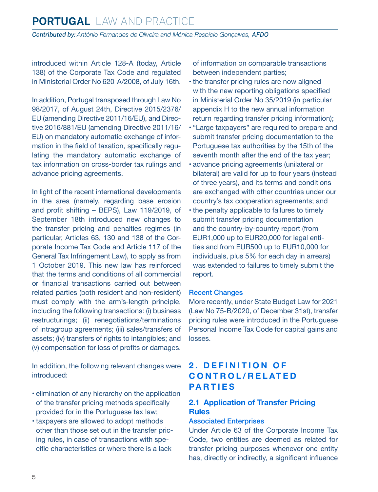<span id="page-4-0"></span>introduced within Article 128-A (today, Article 138) of the Corporate Tax Code and regulated in Ministerial Order No 620-A/2008, of July 16th.

In addition, Portugal transposed through Law No 98/2017, of August 24th, Directive 2015/2376/ EU (amending Directive 2011/16/EU), and Directive 2016/881/EU (amending Directive 2011/16/ EU) on mandatory automatic exchange of information in the field of taxation, specifically regulating the mandatory automatic exchange of tax information on cross-border tax rulings and advance pricing agreements.

In light of the recent international developments in the area (namely, regarding base erosion and profit shifting – BEPS), Law 119/2019, of September 18th introduced new changes to the transfer pricing and penalties regimes (in particular, Articles 63, 130 and 138 of the Corporate Income Tax Code and Article 117 of the General Tax Infringement Law), to apply as from 1 October 2019. This new law has reinforced that the terms and conditions of all commercial or financial transactions carried out between related parties (both resident and non-resident) must comply with the arm's-length principle, including the following transactions: (i) business restructurings; (ii) renegotiations/terminations of intragroup agreements; (iii) sales/transfers of assets; (iv) transfers of rights to intangibles; and (v) compensation for loss of profits or damages.

In addition, the following relevant changes were introduced:

- elimination of any hierarchy on the application of the transfer pricing methods specifically provided for in the Portuguese tax law;
- taxpayers are allowed to adopt methods other than those set out in the transfer pricing rules, in case of transactions with specific characteristics or where there is a lack

of information on comparable transactions between independent parties;

- the transfer pricing rules are now aligned with the new reporting obligations specified in Ministerial Order No 35/2019 (in particular appendix H to the new annual information return regarding transfer pricing information);
- "Large taxpayers" are required to prepare and submit transfer pricing documentation to the Portuguese tax authorities by the 15th of the seventh month after the end of the tax year;
- advance pricing agreements (unilateral or bilateral) are valid for up to four years (instead of three years), and its terms and conditions are exchanged with other countries under our country's tax cooperation agreements; and
- the penalty applicable to failures to timely submit transfer pricing documentation and the country-by-country report (from EUR1,000 up to EUR20,000 for legal entities and from EUR500 up to EUR10,000 for individuals, plus 5% for each day in arrears) was extended to failures to timely submit the report.

#### Recent Changes

More recently, under State Budget Law for 2021 (Law No 75-B/2020, of December 31st), transfer pricing rules were introduced in the Portuguese Personal Income Tax Code for capital gains and losses.

# **2. DEFINITION OF C O N T R O L / R E L AT E D PARTIES**

#### **2.1 Application of Transfer Pricing Rules**

#### Associated Enterprises

Under Article 63 of the Corporate Income Tax Code, two entities are deemed as related for transfer pricing purposes whenever one entity has, directly or indirectly, a significant influence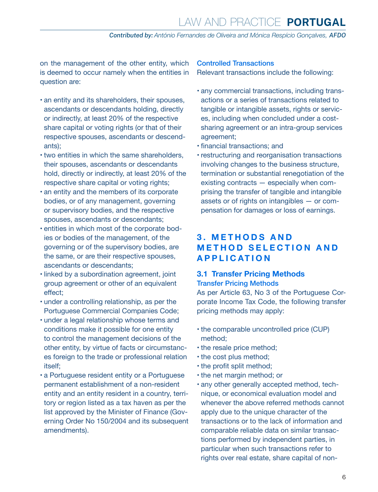<span id="page-5-0"></span>on the management of the other entity, which is deemed to occur namely when the entities in question are:

- an entity and its shareholders, their spouses, ascendants or descendants holding, directly or indirectly, at least 20% of the respective share capital or voting rights (or that of their respective spouses, ascendants or descendants);
- two entities in which the same shareholders, their spouses, ascendants or descendants hold, directly or indirectly, at least 20% of the respective share capital or voting rights;
- an entity and the members of its corporate bodies, or of any management, governing or supervisory bodies, and the respective spouses, ascendants or descendants;
- entities in which most of the corporate bodies or bodies of the management, of the governing or of the supervisory bodies, are the same, or are their respective spouses, ascendants or descendants;
- linked by a subordination agreement, joint group agreement or other of an equivalent effect;
- under a controlling relationship, as per the Portuguese Commercial Companies Code;
- under a legal relationship whose terms and conditions make it possible for one entity to control the management decisions of the other entity, by virtue of facts or circumstances foreign to the trade or professional relation itself;
- a Portuguese resident entity or a Portuguese permanent establishment of a non-resident entity and an entity resident in a country, territory or region listed as a tax haven as per the list approved by the Minister of Finance (Governing Order No 150/2004 and its subsequent amendments).

#### Controlled Transactions

Relevant transactions include the following:

- any commercial transactions, including transactions or a series of transactions related to tangible or intangible assets, rights or services, including when concluded under a costsharing agreement or an intra-group services agreement;
- financial transactions; and
- restructuring and reorganisation transactions involving changes to the business structure, termination or substantial renegotiation of the existing contracts — especially when comprising the transfer of tangible and intangible assets or of rights on intangibles — or compensation for damages or loss of earnings.

# **3 . M E T H O D S A N D METHOD SELECTION AND APPLICATION**

#### **3.1 Transfer Pricing Methods**

Transfer Pricing Methods

As per Article 63, No 3 of the Portuguese Corporate Income Tax Code, the following transfer pricing methods may apply:

- the comparable uncontrolled price (CUP) method;
- the resale price method;
- the cost plus method;
- the profit split method;
- the net margin method; or
- any other generally accepted method, technique, or economical evaluation model and whenever the above referred methods cannot apply due to the unique character of the transactions or to the lack of information and comparable reliable data on similar transactions performed by independent parties, in particular when such transactions refer to rights over real estate, share capital of non-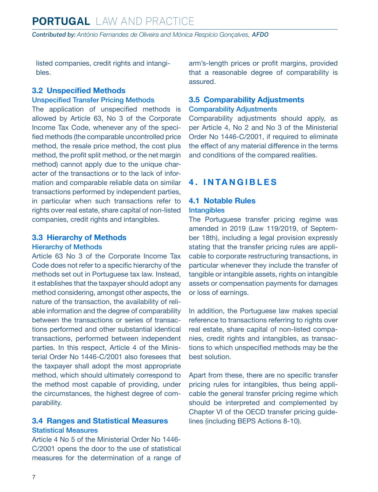<span id="page-6-0"></span>listed companies, credit rights and intangibles.

#### **3.2 Unspecified Methods**

#### Unspecified Transfer Pricing Methods

The application of unspecified methods is allowed by Article 63, No 3 of the Corporate Income Tax Code, whenever any of the specified methods (the comparable uncontrolled price method, the resale price method, the cost plus method, the profit split method, or the net margin method) cannot apply due to the unique character of the transactions or to the lack of information and comparable reliable data on similar transactions performed by independent parties, in particular when such transactions refer to rights over real estate, share capital of non-listed companies, credit rights and intangibles.

#### **3.3 Hierarchy of Methods**

#### Hierarchy of Methods

Article 63 No 3 of the Corporate Income Tax Code does not refer to a specific hierarchy of the methods set out in Portuguese tax law. Instead, it establishes that the taxpayer should adopt any method considering, amongst other aspects, the nature of the transaction, the availability of reliable information and the degree of comparability between the transactions or series of transactions performed and other substantial identical transactions, performed between independent parties. In this respect, Article 4 of the Ministerial Order No 1446-C/2001 also foresees that the taxpayer shall adopt the most appropriate method, which should ultimately correspond to the method most capable of providing, under the circumstances, the highest degree of comparability.

#### **3.4 Ranges and Statistical Measures** Statistical Measures

Article 4 No 5 of the Ministerial Order No 1446- C/2001 opens the door to the use of statistical measures for the determination of a range of arm's-length prices or profit margins, provided that a reasonable degree of comparability is assured.

#### **3.5 Comparability Adjustments** Comparability Adjustments

Comparability adjustments should apply, as per Article 4, No 2 and No 3 of the Ministerial Order No 1446-C/2001, if required to eliminate the effect of any material difference in the terms and conditions of the compared realities.

## **4. INTANGIBLES**

# **4.1 Notable Rules**

#### **Intangibles**

The Portuguese transfer pricing regime was amended in 2019 (Law 119/2019, of September 18th), including a legal provision expressly stating that the transfer pricing rules are applicable to corporate restructuring transactions, in particular whenever they include the transfer of tangible or intangible assets, rights on intangible assets or compensation payments for damages or loss of earnings.

In addition, the Portuguese law makes special reference to transactions referring to rights over real estate, share capital of non-listed companies, credit rights and intangibles, as transactions to which unspecified methods may be the best solution.

Apart from these, there are no specific transfer pricing rules for intangibles, thus being applicable the general transfer pricing regime which should be interpreted and complemented by Chapter VI of the OECD transfer pricing guidelines (including BEPS Actions 8-10).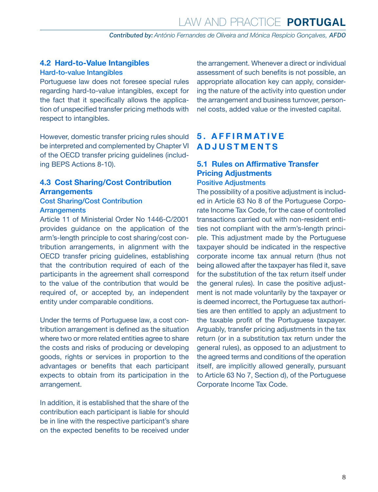<span id="page-7-0"></span>**4.2 Hard-to-Value Intangibles**

#### Hard-to-value Intangibles

Portuguese law does not foresee special rules regarding hard-to-value intangibles, except for the fact that it specifically allows the application of unspecified transfer pricing methods with respect to intangibles.

However, domestic transfer pricing rules should be interpreted and complemented by Chapter VI of the OECD transfer pricing guidelines (including BEPS Actions 8-10).

#### **4.3 Cost Sharing/Cost Contribution Arrangements**

#### Cost Sharing/Cost Contribution **Arrangements**

Article 11 of Ministerial Order No 1446-C/2001 provides guidance on the application of the arm's-length principle to cost sharing/cost contribution arrangements, in alignment with the OECD transfer pricing guidelines, establishing that the contribution required of each of the participants in the agreement shall correspond to the value of the contribution that would be required of, or accepted by, an independent entity under comparable conditions.

Under the terms of Portuguese law, a cost contribution arrangement is defined as the situation where two or more related entities agree to share the costs and risks of producing or developing goods, rights or services in proportion to the advantages or benefits that each participant expects to obtain from its participation in the arrangement.

In addition, it is established that the share of the contribution each participant is liable for should be in line with the respective participant's share on the expected benefits to be received under the arrangement. Whenever a direct or individual assessment of such benefits is not possible, an appropriate allocation key can apply, considering the nature of the activity into question under the arrangement and business turnover, personnel costs, added value or the invested capital.

# **5 . A F F I R M AT I V E ADJUSTMENTS**

#### **5.1 Rules on Affirmative Transfer Pricing Adjustments** Positive Adjustments

The possibility of a positive adjustment is included in Article 63 No 8 of the Portuguese Corporate Income Tax Code, for the case of controlled transactions carried out with non-resident entities not compliant with the arm's-length principle. This adjustment made by the Portuguese taxpayer should be indicated in the respective corporate income tax annual return (thus not being allowed after the taxpayer has filed it, save for the substitution of the tax return itself under the general rules). In case the positive adjustment is not made voluntarily by the taxpayer or is deemed incorrect, the Portuguese tax authorities are then entitled to apply an adjustment to the taxable profit of the Portuguese taxpayer. Arguably, transfer pricing adjustments in the tax return (or in a substitution tax return under the general rules), as opposed to an adjustment to the agreed terms and conditions of the operation itself, are implicitly allowed generally, pursuant to Article 63 No 7, Section d), of the Portuguese Corporate Income Tax Code.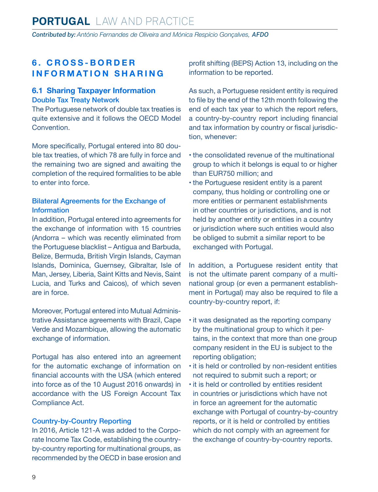# <span id="page-8-0"></span>**6 . C R O S S - B O R D E R INFORMATION SHARING**

#### **6.1 Sharing Taxpayer Information** Double Tax Treaty Network

The Portuguese network of double tax treaties is quite extensive and it follows the OECD Model Convention.

More specifically, Portugal entered into 80 double tax treaties, of which 78 are fully in force and the remaining two are signed and awaiting the completion of the required formalities to be able to enter into force.

#### Bilateral Agreements for the Exchange of Information

In addition, Portugal entered into agreements for the exchange of information with 15 countries (Andorra – which was recently eliminated from the Portuguese blacklist – Antigua and Barbuda, Belize, Bermuda, British Virgin Islands, Cayman Islands, Dominica, Guernsey, Gibraltar, Isle of Man, Jersey, Liberia, Saint Kitts and Nevis, Saint Lucia, and Turks and Caicos), of which seven are in force.

Moreover, Portugal entered into Mutual Administrative Assistance agreements with Brazil, Cape Verde and Mozambique, allowing the automatic exchange of information.

Portugal has also entered into an agreement for the automatic exchange of information on financial accounts with the USA (which entered into force as of the 10 August 2016 onwards) in accordance with the US Foreign Account Tax Compliance Act.

#### Country-by-Country Reporting

In 2016, Article 121-A was added to the Corporate Income Tax Code, establishing the countryby-country reporting for multinational groups, as recommended by the OECD in base erosion and profit shifting (BEPS) Action 13, including on the information to be reported.

As such, a Portuguese resident entity is required to file by the end of the 12th month following the end of each tax year to which the report refers, a country-by-country report including financial and tax information by country or fiscal jurisdiction, whenever:

- the consolidated revenue of the multinational group to which it belongs is equal to or higher than EUR750 million; and
- the Portuguese resident entity is a parent company, thus holding or controlling one or more entities or permanent establishments in other countries or jurisdictions, and is not held by another entity or entities in a country or jurisdiction where such entities would also be obliged to submit a similar report to be exchanged with Portugal.

In addition, a Portuguese resident entity that is not the ultimate parent company of a multinational group (or even a permanent establishment in Portugal) may also be required to file a country-by-country report, if:

- it was designated as the reporting company by the multinational group to which it pertains, in the context that more than one group company resident in the EU is subject to the reporting obligation;
- it is held or controlled by non-resident entities not required to submit such a report; or
- it is held or controlled by entities resident in countries or jurisdictions which have not in force an agreement for the automatic exchange with Portugal of country-by-country reports, or it is held or controlled by entities which do not comply with an agreement for the exchange of country-by-country reports.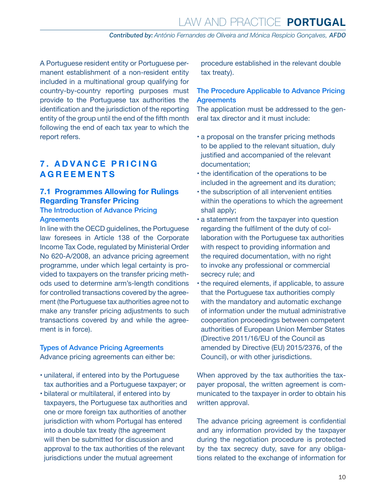<span id="page-9-0"></span>A Portuguese resident entity or Portuguese permanent establishment of a non-resident entity included in a multinational group qualifying for country-by-country reporting purposes must provide to the Portuguese tax authorities the identification and the jurisdiction of the reporting entity of the group until the end of the fifth month following the end of each tax year to which the report refers.

### **7 . A D V A N C E P R I C I N G AGREEMENTS**

## **7.1 Programmes Allowing for Rulings Regarding Transfer Pricing**

#### The Introduction of Advance Pricing **Agreements**

In line with the OECD guidelines, the Portuguese law foresees in Article 138 of the Corporate Income Tax Code, regulated by Ministerial Order No 620-A/2008, an advance pricing agreement programme, under which legal certainty is provided to taxpayers on the transfer pricing methods used to determine arm's-length conditions for controlled transactions covered by the agreement (the Portuguese tax authorities agree not to make any transfer pricing adjustments to such transactions covered by and while the agreement is in force).

#### Types of Advance Pricing Agreements Advance pricing agreements can either be:

- unilateral, if entered into by the Portuguese tax authorities and a Portuguese taxpayer; or
- bilateral or multilateral, if entered into by taxpayers, the Portuguese tax authorities and one or more foreign tax authorities of another jurisdiction with whom Portugal has entered into a double tax treaty (the agreement will then be submitted for discussion and approval to the tax authorities of the relevant jurisdictions under the mutual agreement

procedure established in the relevant double tax treaty).

#### The Procedure Applicable to Advance Pricing **Agreements**

The application must be addressed to the general tax director and it must include:

- a proposal on the transfer pricing methods to be applied to the relevant situation, duly justified and accompanied of the relevant documentation;
- the identification of the operations to be included in the agreement and its duration;
- the subscription of all intervenient entities within the operations to which the agreement shall apply;
- a statement from the taxpayer into question regarding the fulfilment of the duty of collaboration with the Portuguese tax authorities with respect to providing information and the required documentation, with no right to invoke any professional or commercial secrecy rule; and
- the required elements, if applicable, to assure that the Portuguese tax authorities comply with the mandatory and automatic exchange of information under the mutual administrative cooperation proceedings between competent authorities of European Union Member States (Directive 2011/16/EU of the Council as amended by Directive (EU) 2015/2376, of the Council), or with other jurisdictions.

When approved by the tax authorities the taxpayer proposal, the written agreement is communicated to the taxpayer in order to obtain his written approval.

The advance pricing agreement is confidential and any information provided by the taxpayer during the negotiation procedure is protected by the tax secrecy duty, save for any obligations related to the exchange of information for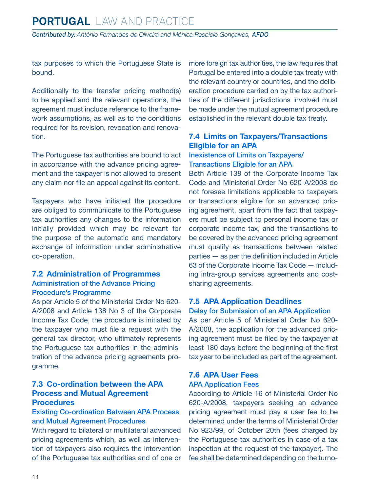<span id="page-10-0"></span>tax purposes to which the Portuguese State is bound.

Additionally to the transfer pricing method(s) to be applied and the relevant operations, the agreement must include reference to the framework assumptions, as well as to the conditions required for its revision, revocation and renovation.

The Portuguese tax authorities are bound to act in accordance with the advance pricing agreement and the taxpayer is not allowed to present any claim nor file an appeal against its content.

Taxpayers who have initiated the procedure are obliged to communicate to the Portuguese tax authorities any changes to the information initially provided which may be relevant for the purpose of the automatic and mandatory exchange of information under administrative co-operation.

#### **7.2 Administration of Programmes** Administration of the Advance Pricing Procedure's Programme

As per Article 5 of the Ministerial Order No 620- A/2008 and Article 138 No 3 of the Corporate Income Tax Code, the procedure is initiated by the taxpayer who must file a request with the general tax director, who ultimately represents the Portuguese tax authorities in the administration of the advance pricing agreements programme.

#### **7.3 Co-ordination between the APA Process and Mutual Agreement Procedures**

#### Existing Co-ordination Between APA Process and Mutual Agreement Procedures

With regard to bilateral or multilateral advanced pricing agreements which, as well as intervention of taxpayers also requires the intervention of the Portuguese tax authorities and of one or more foreign tax authorities, the law requires that Portugal be entered into a double tax treaty with the relevant country or countries, and the deliberation procedure carried on by the tax authorities of the different jurisdictions involved must be made under the mutual agreement procedure established in the relevant double tax treaty.

#### **7.4 Limits on Taxpayers/Transactions Eligible for an APA**

#### Inexistence of Limits on Taxpayers/ Transactions Eligible for an APA

Both Article 138 of the Corporate Income Tax Code and Ministerial Order No 620-A/2008 do not foresee limitations applicable to taxpayers or transactions eligible for an advanced pricing agreement, apart from the fact that taxpayers must be subject to personal income tax or corporate income tax, and the transactions to be covered by the advanced pricing agreement must qualify as transactions between related parties — as per the definition included in Article 63 of the Corporate Income Tax Code — including intra-group services agreements and costsharing agreements.

#### **7.5 APA Application Deadlines**

Delay for Submission of an APA Application As per Article 5 of Ministerial Order No 620- A/2008, the application for the advanced pricing agreement must be filed by the taxpayer at least 180 days before the beginning of the first tax year to be included as part of the agreement.

#### **7.6 APA User Fees** APA Application Fees

According to Article 16 of Ministerial Order No 620-A/2008, taxpayers seeking an advance pricing agreement must pay a user fee to be determined under the terms of Ministerial Order No 923/99, of October 20th (fees charged by the Portuguese tax authorities in case of a tax inspection at the request of the taxpayer). The fee shall be determined depending on the turno-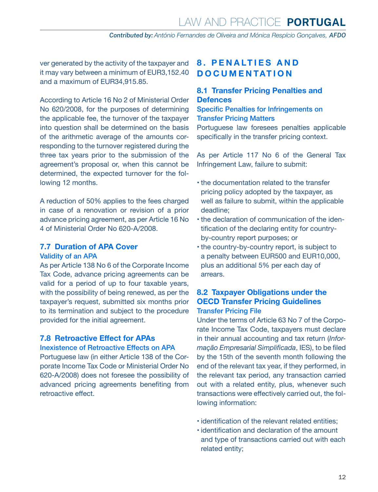<span id="page-11-0"></span>ver generated by the activity of the taxpayer and it may vary between a minimum of EUR3,152.40 and a maximum of EUR34,915.85.

According to Article 16 No 2 of Ministerial Order No 620/2008, for the purposes of determining the applicable fee, the turnover of the taxpayer into question shall be determined on the basis of the arithmetic average of the amounts corresponding to the turnover registered during the three tax years prior to the submission of the agreement's proposal or, when this cannot be determined, the expected turnover for the following 12 months.

A reduction of 50% applies to the fees charged in case of a renovation or revision of a prior advance pricing agreement, as per Article 16 No 4 of Ministerial Order No 620-A/2008.

#### **7.7 Duration of APA Cover**

#### Validity of an APA

As per Article 138 No 6 of the Corporate Income Tax Code, advance pricing agreements can be valid for a period of up to four taxable years, with the possibility of being renewed, as per the taxpayer's request, submitted six months prior to its termination and subject to the procedure provided for the initial agreement.

#### **7.8 Retroactive Effect for APAs**

#### Inexistence of Retroactive Effects on APA

Portuguese law (in either Article 138 of the Corporate Income Tax Code or Ministerial Order No 620-A/2008) does not foresee the possibility of advanced pricing agreements benefiting from retroactive effect.

# **8 . P E N A LT I E S A N D DOCUMENTATION**

#### **8.1 Transfer Pricing Penalties and Defences**

Specific Penalties for Infringements on Transfer Pricing Matters Portuguese law foresees penalties applicable specifically in the transfer pricing context.

As per Article 117 No 6 of the General Tax Infringement Law, failure to submit:

- the documentation related to the transfer pricing policy adopted by the taxpayer, as well as failure to submit, within the applicable deadline;
- the declaration of communication of the identification of the declaring entity for countryby-country report purposes; or
- the country-by-country report, is subject to a penalty between EUR500 and EUR10,000, plus an additional 5% per each day of arrears.

#### **8.2 Taxpayer Obligations under the OECD Transfer Pricing Guidelines**  Transfer Pricing File

Under the terms of Article 63 No 7 of the Corporate Income Tax Code, taxpayers must declare in their annual accounting and tax return (*Informação Empresarial Simplificada*, IES), to be filed by the 15th of the seventh month following the end of the relevant tax year, if they performed, in the relevant tax period, any transaction carried out with a related entity, plus, whenever such transactions were effectively carried out, the following information:

- identification of the relevant related entities;
- identification and declaration of the amount and type of transactions carried out with each related entity;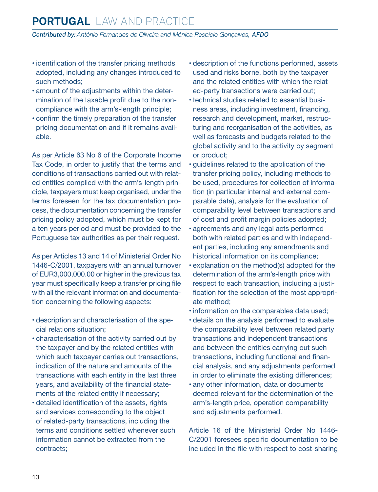# **PORTUGAL** Law and Practice

*Contributed by: António Fernandes de Oliveira and Mónica Respício Gonçalves, AFDO*

- identification of the transfer pricing methods adopted, including any changes introduced to such methods;
- amount of the adjustments within the determination of the taxable profit due to the noncompliance with the arm's-length principle;
- confirm the timely preparation of the transfer pricing documentation and if it remains available.

As per Article 63 No 6 of the Corporate Income Tax Code, in order to justify that the terms and conditions of transactions carried out with related entities complied with the arm's-length principle, taxpayers must keep organised, under the terms foreseen for the tax documentation process, the documentation concerning the transfer pricing policy adopted, which must be kept for a ten years period and must be provided to the Portuguese tax authorities as per their request.

As per Articles 13 and 14 of Ministerial Order No 1446-C/2001, taxpayers with an annual turnover of EUR3,000,000.00 or higher in the previous tax year must specifically keep a transfer pricing file with all the relevant information and documentation concerning the following aspects:

- description and characterisation of the special relations situation;
- characterisation of the activity carried out by the taxpayer and by the related entities with which such taxpayer carries out transactions. indication of the nature and amounts of the transactions with each entity in the last three years, and availability of the financial statements of the related entity if necessary;
- detailed identification of the assets, rights and services corresponding to the object of related-party transactions, including the terms and conditions settled whenever such information cannot be extracted from the contracts;
- description of the functions performed, assets used and risks borne, both by the taxpayer and the related entities with which the related-party transactions were carried out;
- technical studies related to essential business areas, including investment, financing, research and development, market, restructuring and reorganisation of the activities, as well as forecasts and budgets related to the global activity and to the activity by segment or product;
- guidelines related to the application of the transfer pricing policy, including methods to be used, procedures for collection of information (in particular internal and external comparable data), analysis for the evaluation of comparability level between transactions and of cost and profit margin policies adopted;
- agreements and any legal acts performed both with related parties and with independent parties, including any amendments and historical information on its compliance;
- explanation on the method(s) adopted for the determination of the arm's-length price with respect to each transaction, including a justification for the selection of the most appropriate method;
- information on the comparables data used;
- details on the analysis performed to evaluate the comparability level between related party transactions and independent transactions and between the entities carrying out such transactions, including functional and financial analysis, and any adjustments performed in order to eliminate the existing differences;
- any other information, data or documents deemed relevant for the determination of the arm's-length price, operation comparability and adjustments performed.

Article 16 of the Ministerial Order No 1446- C/2001 foresees specific documentation to be included in the file with respect to cost-sharing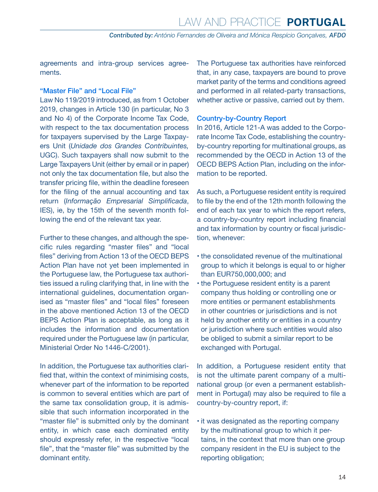agreements and intra-group services agreements.

#### "Master File" and "Local File"

Law No 119/2019 introduced, as from 1 October 2019, changes in Article 130 (in particular, No 3 and No 4) of the Corporate Income Tax Code, with respect to the tax documentation process for taxpayers supervised by the Large Taxpayers Unit (*Unidade dos Grandes Contribuintes,* UGC). Such taxpayers shall now submit to the Large Taxpayers Unit (either by email or in paper) not only the tax documentation file, but also the transfer pricing file, within the deadline foreseen for the filing of the annual accounting and tax return (*Informação Empresarial Simplificada*, IES), ie, by the 15th of the seventh month following the end of the relevant tax year.

Further to these changes, and although the specific rules regarding "master files" and "local files" deriving from Action 13 of the OECD BEPS Action Plan have not yet been implemented in the Portuguese law, the Portuguese tax authorities issued a ruling clarifying that, in line with the international guidelines, documentation organised as "master files" and "local files" foreseen in the above mentioned Action 13 of the OECD BEPS Action Plan is acceptable, as long as it includes the information and documentation required under the Portuguese law (in particular, Ministerial Order No 1446-C/2001).

In addition, the Portuguese tax authorities clarified that, within the context of minimising costs, whenever part of the information to be reported is common to several entities which are part of the same tax consolidation group, it is admissible that such information incorporated in the "master file" is submitted only by the dominant entity, in which case each dominated entity should expressly refer, in the respective "local file", that the "master file" was submitted by the dominant entity.

The Portuguese tax authorities have reinforced that, in any case, taxpayers are bound to prove market parity of the terms and conditions agreed and performed in all related-party transactions, whether active or passive, carried out by them.

#### Country-by-Country Report

In 2016, Article 121-A was added to the Corporate Income Tax Code, establishing the countryby-country reporting for multinational groups, as recommended by the OECD in Action 13 of the OECD BEPS Action Plan, including on the information to be reported.

As such, a Portuguese resident entity is required to file by the end of the 12th month following the end of each tax year to which the report refers, a country-by-country report including financial and tax information by country or fiscal jurisdiction, whenever:

- the consolidated revenue of the multinational group to which it belongs is equal to or higher than EUR750,000,000; and
- the Portuguese resident entity is a parent company thus holding or controlling one or more entities or permanent establishments in other countries or jurisdictions and is not held by another entity or entities in a country or jurisdiction where such entities would also be obliged to submit a similar report to be exchanged with Portugal.

In addition, a Portuguese resident entity that is not the ultimate parent company of a multinational group (or even a permanent establishment in Portugal) may also be required to file a country-by-country report, if:

• it was designated as the reporting company by the multinational group to which it pertains, in the context that more than one group company resident in the EU is subject to the reporting obligation;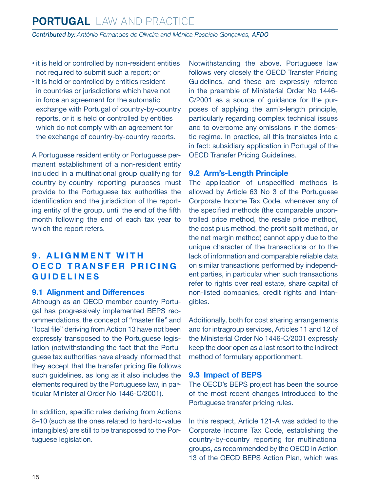- <span id="page-14-0"></span>• it is held or controlled by non-resident entities not required to submit such a report; or
- it is held or controlled by entities resident in countries or jurisdictions which have not in force an agreement for the automatic exchange with Portugal of country-by-country reports, or it is held or controlled by entities which do not comply with an agreement for the exchange of country-by-country reports.

A Portuguese resident entity or Portuguese permanent establishment of a non-resident entity included in a multinational group qualifying for country-by-country reporting purposes must provide to the Portuguese tax authorities the identification and the jurisdiction of the reporting entity of the group, until the end of the fifth month following the end of each tax year to which the report refers.

# **9. ALIGNMENT WITH OECD TRANSFER PRICING GUIDELINES**

#### **9.1 Alignment and Differences**

Although as an OECD member country Portugal has progressively implemented BEPS recommendations, the concept of "master file" and "local file" deriving from Action 13 have not been expressly transposed to the Portuguese legislation (notwithstanding the fact that the Portuguese tax authorities have already informed that they accept that the transfer pricing file follows such guidelines, as long as it also includes the elements required by the Portuguese law, in particular Ministerial Order No 1446-C/2001).

In addition, specific rules deriving from Actions 8–10 (such as the ones related to hard-to-value intangibles) are still to be transposed to the Portuguese legislation.

Notwithstanding the above, Portuguese law follows very closely the OECD Transfer Pricing Guidelines, and these are expressly referred in the preamble of Ministerial Order No 1446- C/2001 as a source of guidance for the purposes of applying the arm's-length principle, particularly regarding complex technical issues and to overcome any omissions in the domestic regime. In practice, all this translates into a in fact: subsidiary application in Portugal of the OECD Transfer Pricing Guidelines.

#### **9.2 Arm's-Length Principle**

The application of unspecified methods is allowed by Article 63 No 3 of the Portuguese Corporate Income Tax Code, whenever any of the specified methods (the comparable uncontrolled price method, the resale price method, the cost plus method, the profit split method, or the net margin method) cannot apply due to the unique character of the transactions or to the lack of information and comparable reliable data on similar transactions performed by independent parties, in particular when such transactions refer to rights over real estate, share capital of non-listed companies, credit rights and intangibles.

Additionally, both for cost sharing arrangements and for intragroup services, Articles 11 and 12 of the Ministerial Order No 1446-C/2001 expressly keep the door open as a last resort to the indirect method of formulary apportionment.

#### **9.3 Impact of BEPS**

The OECD's BEPS project has been the source of the most recent changes introduced to the Portuguese transfer pricing rules.

In this respect, Article 121-A was added to the Corporate Income Tax Code, establishing the country-by-country reporting for multinational groups, as recommended by the OECD in Action 13 of the OECD BEPS Action Plan, which was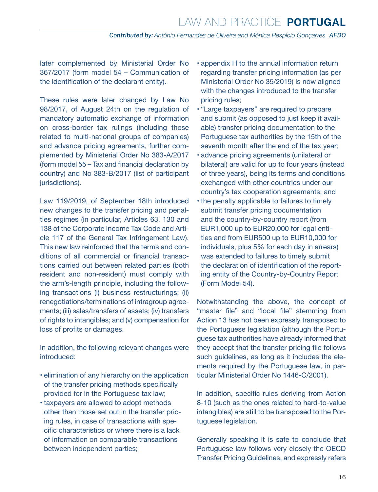later complemented by Ministerial Order No 367/2017 (form model 54 – Communication of the identification of the declarant entity).

These rules were later changed by Law No 98/2017, of August 24th on the regulation of mandatory automatic exchange of information on cross-border tax rulings (including those related to multi-national groups of companies) and advance pricing agreements, further complemented by Ministerial Order No 383-A/2017 (form model 55 – Tax and financial declaration by country) and No 383-B/2017 (list of participant jurisdictions).

Law 119/2019, of September 18th introduced new changes to the transfer pricing and penalties regimes (in particular, Articles 63, 130 and 138 of the Corporate Income Tax Code and Article 117 of the General Tax Infringement Law). This new law reinforced that the terms and conditions of all commercial or financial transactions carried out between related parties (both resident and non-resident) must comply with the arm's-length principle, including the following transactions (i) business restructurings; (ii) renegotiations/terminations of intragroup agreements; (iii) sales/transfers of assets; (iv) transfers of rights to intangibles; and (v) compensation for loss of profits or damages.

In addition, the following relevant changes were introduced:

- elimination of any hierarchy on the application of the transfer pricing methods specifically provided for in the Portuguese tax law;
- taxpayers are allowed to adopt methods other than those set out in the transfer pricing rules, in case of transactions with specific characteristics or where there is a lack of information on comparable transactions between independent parties;
- appendix H to the annual information return regarding transfer pricing information (as per Ministerial Order No 35/2019) is now aligned with the changes introduced to the transfer pricing rules;
- "Large taxpayers" are required to prepare and submit (as opposed to just keep it available) transfer pricing documentation to the Portuguese tax authorities by the 15th of the seventh month after the end of the tax year;
- advance pricing agreements (unilateral or bilateral) are valid for up to four years (instead of three years), being its terms and conditions exchanged with other countries under our country's tax cooperation agreements; and
- the penalty applicable to failures to timely submit transfer pricing documentation and the country-by-country report (from EUR1,000 up to EUR20,000 for legal entities and from EUR500 up to EUR10,000 for individuals, plus 5% for each day in arrears) was extended to failures to timely submit the declaration of identification of the reporting entity of the Country-by-Country Report (Form Model 54).

Notwithstanding the above, the concept of "master file" and "local file" stemming from Action 13 has not been expressly transposed to the Portuguese legislation (although the Portuguese tax authorities have already informed that they accept that the transfer pricing file follows such quidelines, as long as it includes the elements required by the Portuguese law, in particular Ministerial Order No 1446-C/2001).

In addition, specific rules deriving from Action 8-10 (such as the ones related to hard-to-value intangibles) are still to be transposed to the Portuguese legislation.

Generally speaking it is safe to conclude that Portuguese law follows very closely the OECD Transfer Pricing Guidelines, and expressly refers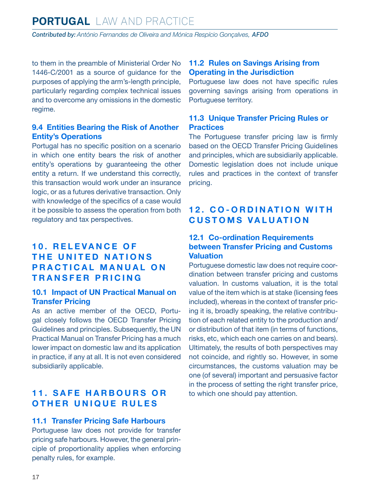<span id="page-16-0"></span>to them in the preamble of Ministerial Order No 1446-C/2001 as a source of guidance for the purposes of applying the arm's-length principle, particularly regarding complex technical issues and to overcome any omissions in the domestic regime.

#### **9.4 Entities Bearing the Risk of Another Entity's Operations**

Portugal has no specific position on a scenario in which one entity bears the risk of another entity's operations by guaranteeing the other entity a return. If we understand this correctly, this transaction would work under an insurance logic, or as a futures derivative transaction. Only with knowledge of the specifics of a case would it be possible to assess the operation from both regulatory and tax perspectives.

# **10. RELEVANCE OF THE UNITED NATIONS PRACTICAL MANUAL ON TRANSFER PRICING**

#### **10.1 Impact of UN Practical Manual on Transfer Pricing**

As an active member of the OECD, Portugal closely follows the OECD Transfer Pricing Guidelines and principles. Subsequently, the UN Practical Manual on Transfer Pricing has a much lower impact on domestic law and its application in practice, if any at all. It is not even considered subsidiarily applicable.

# **11. SAFE HARBOURS OR OTHER UNIQUE RULES**

#### **11.1 Transfer Pricing Safe Harbours**

Portuguese law does not provide for transfer pricing safe harbours. However, the general principle of proportionality applies when enforcing penalty rules, for example.

#### **11.2 Rules on Savings Arising from Operating in the Jurisdiction**

Portuguese law does not have specific rules governing savings arising from operations in Portuguese territory.

#### **11.3 Unique Transfer Pricing Rules or Practices**

The Portuguese transfer pricing law is firmly based on the OECD Transfer Pricing Guidelines and principles, which are subsidiarily applicable. Domestic legislation does not include unique rules and practices in the context of transfer pricing.

# **12. CO-ORDINATION WITH CUSTOMS VALUATION**

#### **12.1 Co-ordination Requirements between Transfer Pricing and Customs Valuation**

Portuguese domestic law does not require coordination between transfer pricing and customs valuation. In customs valuation, it is the total value of the item which is at stake (licensing fees included), whereas in the context of transfer pricing it is, broadly speaking, the relative contribution of each related entity to the production and/ or distribution of that item (in terms of functions, risks, etc, which each one carries on and bears). Ultimately, the results of both perspectives may not coincide, and rightly so. However, in some circumstances, the customs valuation may be one (of several) important and persuasive factor in the process of setting the right transfer price, to which one should pay attention.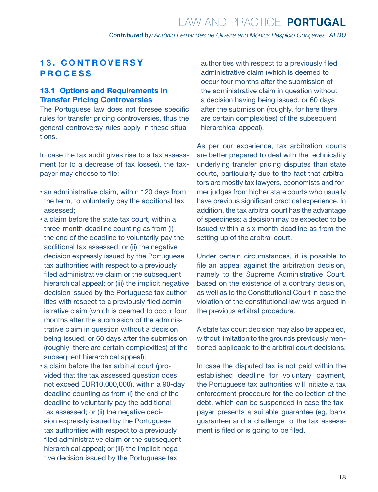# <span id="page-17-0"></span>**1 3 . C O N T R O V E R S Y PROCESS**

#### **13.1 Options and Requirements in Transfer Pricing Controversies**

The Portuguese law does not foresee specific rules for transfer pricing controversies, thus the general controversy rules apply in these situations.

In case the tax audit gives rise to a tax assessment (or to a decrease of tax losses), the taxpayer may choose to file:

- an administrative claim, within 120 days from the term, to voluntarily pay the additional tax assessed;
- a claim before the state tax court, within a three-month deadline counting as from (i) the end of the deadline to voluntarily pay the additional tax assessed; or (ii) the negative decision expressly issued by the Portuguese tax authorities with respect to a previously filed administrative claim or the subsequent hierarchical appeal; or (iii) the implicit negative decision issued by the Portuguese tax authorities with respect to a previously filed administrative claim (which is deemed to occur four months after the submission of the administrative claim in question without a decision being issued, or 60 days after the submission (roughly; there are certain complexities) of the subsequent hierarchical appeal);
- a claim before the tax arbitral court (provided that the tax assessed question does not exceed EUR10,000,000), within a 90-day deadline counting as from (i) the end of the deadline to voluntarily pay the additional tax assessed; or (ii) the negative decision expressly issued by the Portuguese tax authorities with respect to a previously filed administrative claim or the subsequent hierarchical appeal; or (iii) the implicit negative decision issued by the Portuguese tax

authorities with respect to a previously filed administrative claim (which is deemed to occur four months after the submission of the administrative claim in question without a decision having being issued, or 60 days after the submission (roughly, for here there are certain complexities) of the subsequent hierarchical appeal).

As per our experience, tax arbitration courts are better prepared to deal with the technicality underlying transfer pricing disputes than state courts, particularly due to the fact that arbitrators are mostly tax lawyers, economists and former judges from higher state courts who usually have previous significant practical experience. In addition, the tax arbitral court has the advantage of speediness: a decision may be expected to be issued within a six month deadline as from the setting up of the arbitral court.

Under certain circumstances, it is possible to file an appeal against the arbitration decision, namely to the Supreme Administrative Court, based on the existence of a contrary decision, as well as to the Constitutional Court in case the violation of the constitutional law was argued in the previous arbitral procedure.

A state tax court decision may also be appealed, without limitation to the grounds previously mentioned applicable to the arbitral court decisions.

In case the disputed tax is not paid within the established deadline for voluntary payment, the Portuguese tax authorities will initiate a tax enforcement procedure for the collection of the debt, which can be suspended in case the taxpayer presents a suitable guarantee (eg, bank guarantee) and a challenge to the tax assessment is filed or is going to be filed.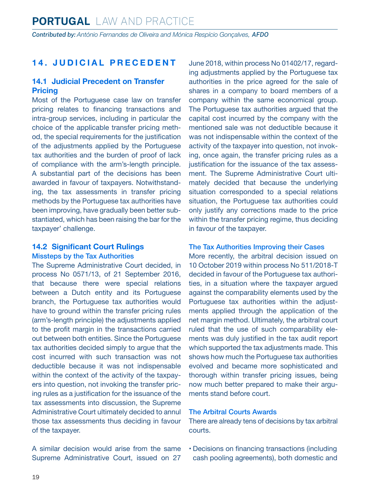# <span id="page-18-0"></span>**14. JUDICIAL PRECEDENT**

#### **14.1 Judicial Precedent on Transfer Pricing**

Most of the Portuguese case law on transfer pricing relates to financing transactions and intra-group services, including in particular the choice of the applicable transfer pricing method, the special requirements for the justification of the adjustments applied by the Portuguese tax authorities and the burden of proof of lack of compliance with the arm's-length principle. A substantial part of the decisions has been awarded in favour of taxpayers. Notwithstanding, the tax assessments in transfer pricing methods by the Portuguese tax authorities have been improving, have gradually been better substantiated, which has been raising the bar for the taxpayer' challenge.

#### **14.2 Significant Court Rulings**

#### Missteps by the Tax Authorities

The Supreme Administrative Court decided, in process No 0571/13, of 21 September 2016, that because there were special relations between a Dutch entity and its Portuguese branch, the Portuguese tax authorities would have to ground within the transfer pricing rules (arm's-length principle) the adjustments applied to the profit margin in the transactions carried out between both entities. Since the Portuguese tax authorities decided simply to argue that the cost incurred with such transaction was not deductible because it was not indispensable within the context of the activity of the taxpayers into question, not invoking the transfer pricing rules as a justification for the issuance of the tax assessments into discussion, the Supreme Administrative Court ultimately decided to annul those tax assessments thus deciding in favour of the taxpayer.

A similar decision would arise from the same Supreme Administrative Court, issued on 27 June 2018, within process No 01402/17, regarding adjustments applied by the Portuguese tax authorities in the price agreed for the sale of shares in a company to board members of a company within the same economical group. The Portuguese tax authorities argued that the capital cost incurred by the company with the mentioned sale was not deductible because it was not indispensable within the context of the activity of the taxpayer into question, not invoking, once again, the transfer pricing rules as a justification for the issuance of the tax assessment. The Supreme Administrative Court ultimately decided that because the underlying situation corresponded to a special relations situation, the Portuguese tax authorities could only justify any corrections made to the price within the transfer pricing regime, thus deciding in favour of the taxpayer.

#### The Tax Authorities Improving their Cases

More recently, the arbitral decision issued on 10 October 2019 within process No 511/2018-T decided in favour of the Portuguese tax authorities, in a situation where the taxpayer argued against the comparability elements used by the Portuguese tax authorities within the adjustments applied through the application of the net margin method. Ultimately, the arbitral court ruled that the use of such comparability elements was duly justified in the tax audit report which supported the tax adjustments made. This shows how much the Portuguese tax authorities evolved and became more sophisticated and thorough within transfer pricing issues, being now much better prepared to make their arguments stand before court.

#### The Arbitral Courts Awards

There are already tens of decisions by tax arbitral courts.

• Decisions on financing transactions (including cash pooling agreements), both domestic and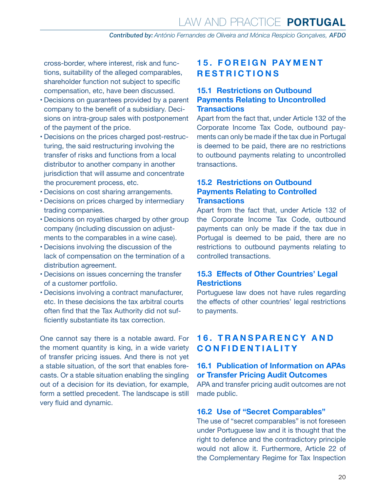<span id="page-19-0"></span>cross-border, where interest, risk and functions, suitability of the alleged comparables, shareholder function not subject to specific compensation, etc, have been discussed.

- Decisions on guarantees provided by a parent company to the benefit of a subsidiary. Decisions on intra-group sales with postponement of the payment of the price.
- Decisions on the prices charged post-restructuring, the said restructuring involving the transfer of risks and functions from a local distributor to another company in another jurisdiction that will assume and concentrate the procurement process, etc.
- Decisions on cost sharing arrangements.
- Decisions on prices charged by intermediary trading companies.
- Decisions on royalties charged by other group company (including discussion on adjustments to the comparables in a wine case).
- Decisions involving the discussion of the lack of compensation on the termination of a distribution agreement.
- Decisions on issues concerning the transfer of a customer portfolio.
- Decisions involving a contract manufacturer, etc. In these decisions the tax arbitral courts often find that the Tax Authority did not sufficiently substantiate its tax correction.

One cannot say there is a notable award. For the moment quantity is king, in a wide variety of transfer pricing issues. And there is not yet a stable situation, of the sort that enables forecasts. Or a stable situation enabling the singling out of a decision for its deviation, for example, form a settled precedent. The landscape is still very fluid and dynamic.

# **15. FOREIGN PAYMENT RESTRICTIONS**

#### **15.1 Restrictions on Outbound Payments Relating to Uncontrolled Transactions**

Apart from the fact that, under Article 132 of the Corporate Income Tax Code, outbound payments can only be made if the tax due in Portugal is deemed to be paid, there are no restrictions to outbound payments relating to uncontrolled transactions.

#### **15.2 Restrictions on Outbound Payments Relating to Controlled Transactions**

Apart from the fact that, under Article 132 of the Corporate Income Tax Code, outbound payments can only be made if the tax due in Portugal is deemed to be paid, there are no restrictions to outbound payments relating to controlled transactions.

#### **15.3 Effects of Other Countries' Legal Restrictions**

Portuguese law does not have rules regarding the effects of other countries' legal restrictions to payments.

# **1 6 . T R A N S PA R E N C Y A N D CONFIDENTIALITY**

#### **16.1 Publication of Information on APAs or Transfer Pricing Audit Outcomes**

APA and transfer pricing audit outcomes are not made public.

#### **16.2 Use of "Secret Comparables"**

The use of "secret comparables" is not foreseen under Portuguese law and it is thought that the right to defence and the contradictory principle would not allow it. Furthermore, Article 22 of the Complementary Regime for Tax Inspection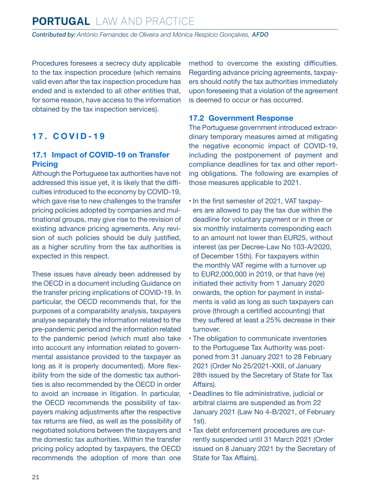<span id="page-20-0"></span>Procedures foresees a secrecy duty applicable to the tax inspection procedure (which remains valid even after the tax inspection procedure has ended and is extended to all other entities that, for some reason, have access to the information obtained by the tax inspection services).

# **17. COVID-19**

#### **17.1 Impact of COVID-19 on Transfer Pricing**

Although the Portuguese tax authorities have not addressed this issue yet, it is likely that the difficulties introduced to the economy by COVID-19, which gave rise to new challenges to the transfer pricing policies adopted by companies and multinational groups, may give rise to the revision of existing advance pricing agreements. Any revision of such policies should be duly justified, as a higher scrutiny from the tax authorities is expected in this respect.

These issues have already been addressed by the OECD in a document including Guidance on the transfer pricing implications of COVID-19. In particular, the OECD recommends that, for the purposes of a comparability analysis, taxpayers analyse separately the information related to the pre-pandemic period and the information related to the pandemic period (which must also take into account any information related to governmental assistance provided to the taxpayer as long as it is properly documented). More flexibility from the side of the domestic tax authorities is also recommended by the OECD in order to avoid an increase in litigation. In particular, the OECD recommends the possibility of taxpayers making adjustments after the respective tax returns are filed, as well as the possibility of negotiated solutions between the taxpayers and the domestic tax authorities. Within the transfer pricing policy adopted by taxpayers, the OECD recommends the adoption of more than one method to overcome the existing difficulties. Regarding advance pricing agreements, taxpayers should notify the tax authorities immediately upon foreseeing that a violation of the agreement is deemed to occur or has occurred.

#### **17.2 Government Response**

The Portuguese government introduced extraordinary temporary measures aimed at mitigating the negative economic impact of COVID-19, including the postponement of payment and compliance deadlines for tax and other reporting obligations. The following are examples of those measures applicable to 2021.

- In the first semester of 2021, VAT taxpayers are allowed to pay the tax due within the deadline for voluntary payment or in three or six monthly instalments corresponding each to an amount not lower than EUR25, without interest (as per Decree-Law No 103-A/2020, of December 15th). For taxpayers within the monthly VAT regime with a turnover up to EUR2,000,000 in 2019, or that have (re) initiated their activity from 1 January 2020 onwards, the option for payment in instalments is valid as long as such taxpayers can prove (through a certified accounting) that they suffered at least a 25% decrease in their turnover.
- The obligation to communicate inventories to the Portuguese Tax Authority was postponed from 31 January 2021 to 28 February 2021 (Order No 25/2021-XXII, of January 28th issued by the Secretary of State for Tax Affairs).
- Deadlines to file administrative, judicial or arbitral claims are suspended as from 22 January 2021 (Law No 4-B/2021, of February 1st).
- Tax debt enforcement procedures are currently suspended until 31 March 2021 (Order issued on 8 January 2021 by the Secretary of State for Tax Affairs).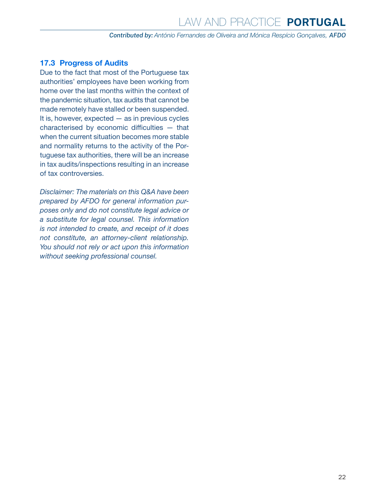#### <span id="page-21-0"></span>**17.3 Progress of Audits**

Due to the fact that most of the Portuguese tax authorities' employees have been working from home over the last months within the context of the pandemic situation, tax audits that cannot be made remotely have stalled or been suspended. It is, however, expected  $-$  as in previous cycles characterised by economic difficulties — that when the current situation becomes more stable and normality returns to the activity of the Portuguese tax authorities, there will be an increase in tax audits/inspections resulting in an increase of tax controversies.

*Disclaimer: The materials on this Q&A have been prepared by AFDO for general information purposes only and do not constitute legal advice or a substitute for legal counsel. This information is not intended to create, and receipt of it does not constitute, an attorney-client relationship. You should not rely or act upon this information without seeking professional counsel.*